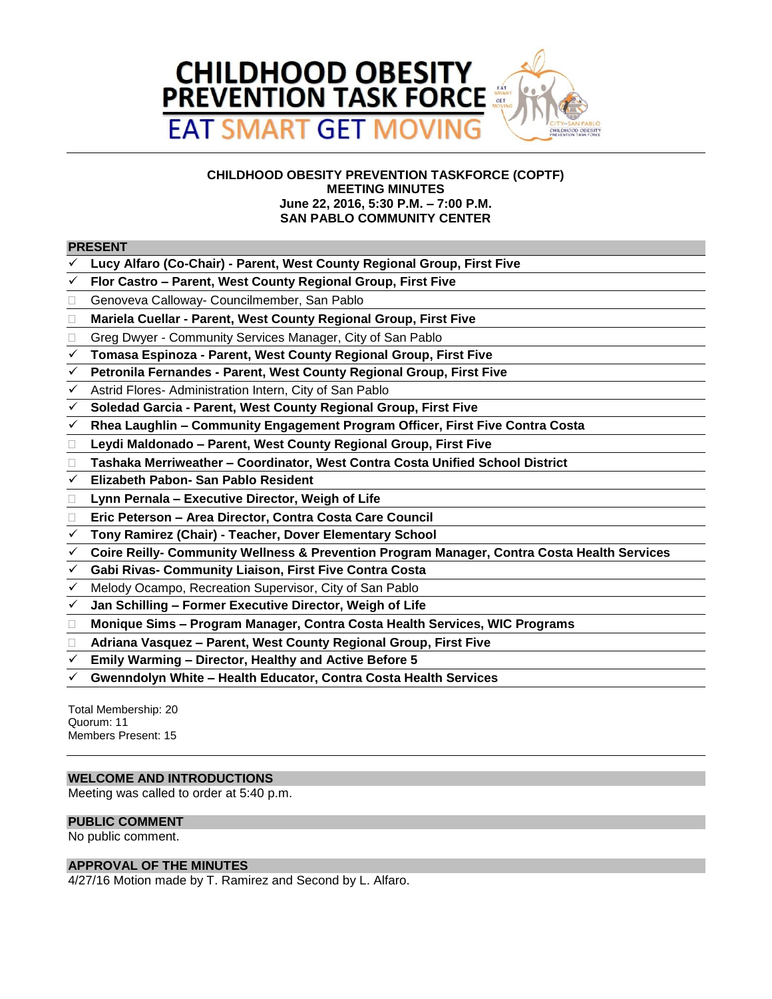

# **CHILDHOOD OBESITY PREVENTION TASKFORCE (COPTF) MEETING MINUTES June 22, 2016, 5:30 P.M. – 7:00 P.M. SAN PABLO COMMUNITY CENTER**

# **PRESENT**

- **Lucy Alfaro (Co-Chair) - Parent, West County Regional Group, First Five**
- **Flor Castro – Parent, West County Regional Group, First Five**
- Genoveva Calloway- Councilmember, San Pablo
- **Mariela Cuellar - Parent, West County Regional Group, First Five**
- □ Greg Dwyer Community Services Manager, City of San Pablo
- **Tomasa Espinoza - Parent, West County Regional Group, First Five**
- **Petronila Fernandes - Parent, West County Regional Group, First Five**
- Astrid Flores- Administration Intern, City of San Pablo
- **Soledad Garcia - Parent, West County Regional Group, First Five**
- **Rhea Laughlin – Community Engagement Program Officer, First Five Contra Costa**
- **Leydi Maldonado – Parent, West County Regional Group, First Five**
- **Tashaka Merriweather – Coordinator, West Contra Costa Unified School District**
- **Elizabeth Pabon- San Pablo Resident**
- **Lynn Pernala – Executive Director, Weigh of Life**
- **Eric Peterson – Area Director, Contra Costa Care Council**
- **Tony Ramirez (Chair) - Teacher, Dover Elementary School**
- **Coire Reilly- Community Wellness & Prevention Program Manager, Contra Costa Health Services**
- **Gabi Rivas- Community Liaison, First Five Contra Costa**
- Melody Ocampo, Recreation Supervisor, City of San Pablo
- **Jan Schilling – Former Executive Director, Weigh of Life**
- **Monique Sims – Program Manager, Contra Costa Health Services, WIC Programs**
- **Adriana Vasquez – Parent, West County Regional Group, First Five**
- **Emily Warming – Director, Healthy and Active Before 5**
- **Gwenndolyn White – Health Educator, Contra Costa Health Services**

Total Membership: 20 Quorum: 11 Members Present: 15

# **WELCOME AND INTRODUCTIONS**

Meeting was called to order at 5:40 p.m.

### **PUBLIC COMMENT**

No public comment.

# **APPROVAL OF THE MINUTES**

4/27/16 Motion made by T. Ramirez and Second by L. Alfaro.